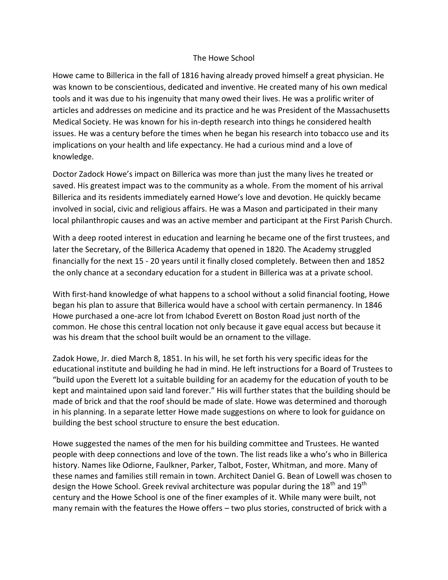## The Howe School

Howe came to Billerica in the fall of 1816 having already proved himself a great physician. He was known to be conscientious, dedicated and inventive. He created many of his own medical tools and it was due to his ingenuity that many owed their lives. He was a prolific writer of articles and addresses on medicine and its practice and he was President of the Massachusetts Medical Society. He was known for his in-depth research into things he considered health issues. He was a century before the times when he began his research into tobacco use and its implications on your health and life expectancy. He had a curious mind and a love of knowledge.

Doctor Zadock Howe's impact on Billerica was more than just the many lives he treated or saved. His greatest impact was to the community as a whole. From the moment of his arrival Billerica and its residents immediately earned Howe's love and devotion. He quickly became involved in social, civic and religious affairs. He was a Mason and participated in their many local philanthropic causes and was an active member and participant at the First Parish Church.

With a deep rooted interest in education and learning he became one of the first trustees, and later the Secretary, of the Billerica Academy that opened in 1820. The Academy struggled financially for the next 15 - 20 years until it finally closed completely. Between then and 1852 the only chance at a secondary education for a student in Billerica was at a private school.

With first-hand knowledge of what happens to a school without a solid financial footing, Howe began his plan to assure that Billerica would have a school with certain permanency. In 1846 Howe purchased a one-acre lot from Ichabod Everett on Boston Road just north of the common. He chose this central location not only because it gave equal access but because it was his dream that the school built would be an ornament to the village.

Zadok Howe, Jr. died March 8, 1851. In his will, he set forth his very specific ideas for the educational institute and building he had in mind. He left instructions for a Board of Trustees to "build upon the Everett lot a suitable building for an academy for the education of youth to be kept and maintained upon said land forever." His will further states that the building should be made of brick and that the roof should be made of slate. Howe was determined and thorough in his planning. In a separate letter Howe made suggestions on where to look for guidance on building the best school structure to ensure the best education.

Howe suggested the names of the men for his building committee and Trustees. He wanted people with deep connections and love of the town. The list reads like a who's who in Billerica history. Names like Odiorne, Faulkner, Parker, Talbot, Foster, Whitman, and more. Many of these names and families still remain in town. Architect Daniel G. Bean of Lowell was chosen to design the Howe School. Greek revival architecture was popular during the 18<sup>th</sup> and 19<sup>th</sup> century and the Howe School is one of the finer examples of it. While many were built, not many remain with the features the Howe offers – two plus stories, constructed of brick with a